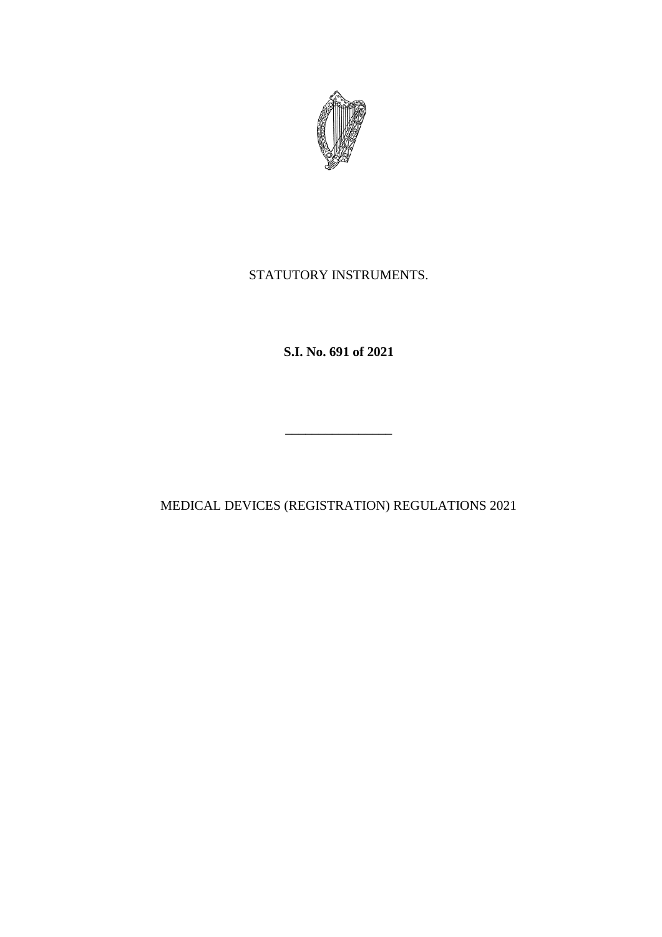

# STATUTORY INSTRUMENTS.

**S.I. No. 691 of 2021**

MEDICAL DEVICES (REGISTRATION) REGULATIONS 2021

\_\_\_\_\_\_\_\_\_\_\_\_\_\_\_\_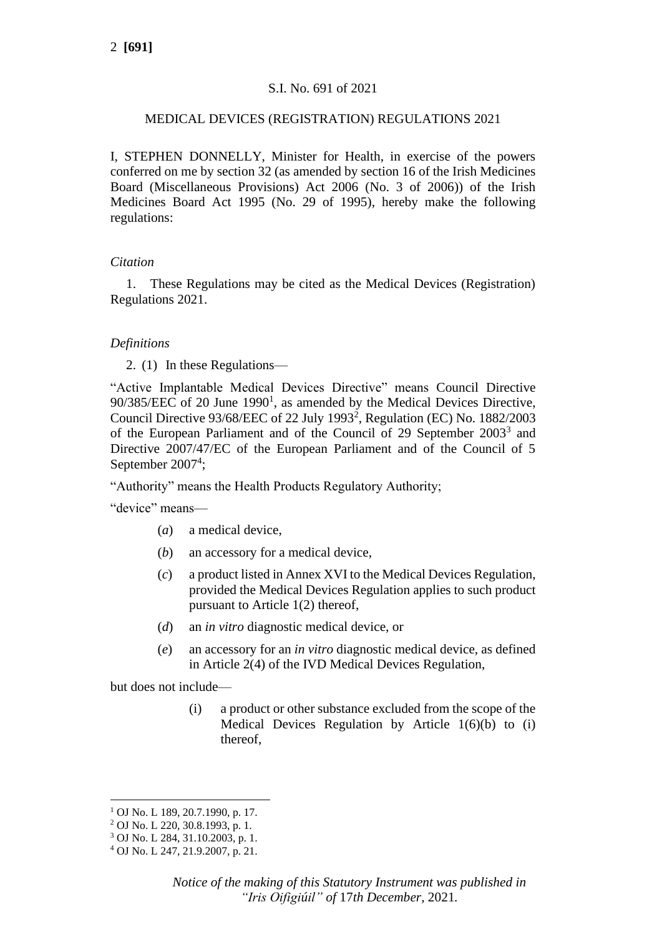## S.I. No. 691 of 2021

## MEDICAL DEVICES (REGISTRATION) REGULATIONS 2021

I, STEPHEN DONNELLY, Minister for Health, in exercise of the powers conferred on me by section 32 (as amended by section 16 of the Irish Medicines Board (Miscellaneous Provisions) Act 2006 (No. 3 of 2006)) of the Irish Medicines Board Act 1995 (No. 29 of 1995), hereby make the following regulations:

## *Citation*

1. These Regulations may be cited as the Medical Devices (Registration) Regulations 2021.

# *Definitions*

2. (1) In these Regulations—

"Active Implantable Medical Devices Directive" means Council Directive  $90/385/EEC$  of 20 June  $1990<sup>1</sup>$ , as amended by the Medical Devices Directive, Council Directive 93/68/EEC of 22 July 1993<sup>2</sup>, Regulation (EC) No. 1882/2003 of the European Parliament and of the Council of 29 September 2003<sup>3</sup> and Directive 2007/47/EC of the European Parliament and of the Council of 5 September 2007<sup>4</sup>;

"Authority" means the Health Products Regulatory Authority;

"device" means—

- (*a*) a medical device,
- (*b*) an accessory for a medical device,
- (*c*) a product listed in Annex XVI to the Medical Devices Regulation, provided the Medical Devices Regulation applies to such product pursuant to Article 1(2) thereof,
- (*d*) an *in vitro* diagnostic medical device, or
- (*e*) an accessory for an *in vitro* diagnostic medical device, as defined in Article 2(4) of the IVD Medical Devices Regulation,

but does not include—

(i) a product or other substance excluded from the scope of the Medical Devices Regulation by Article 1(6)(b) to (i) thereof,

<sup>1</sup> OJ No. L 189, 20.7.1990, p. 17.

<sup>2</sup> OJ No. L 220, 30.8.1993, p. 1.

<sup>3</sup> OJ No. L 284, 31.10.2003, p. 1.

<sup>4</sup> OJ No. L 247, 21.9.2007, p. 21.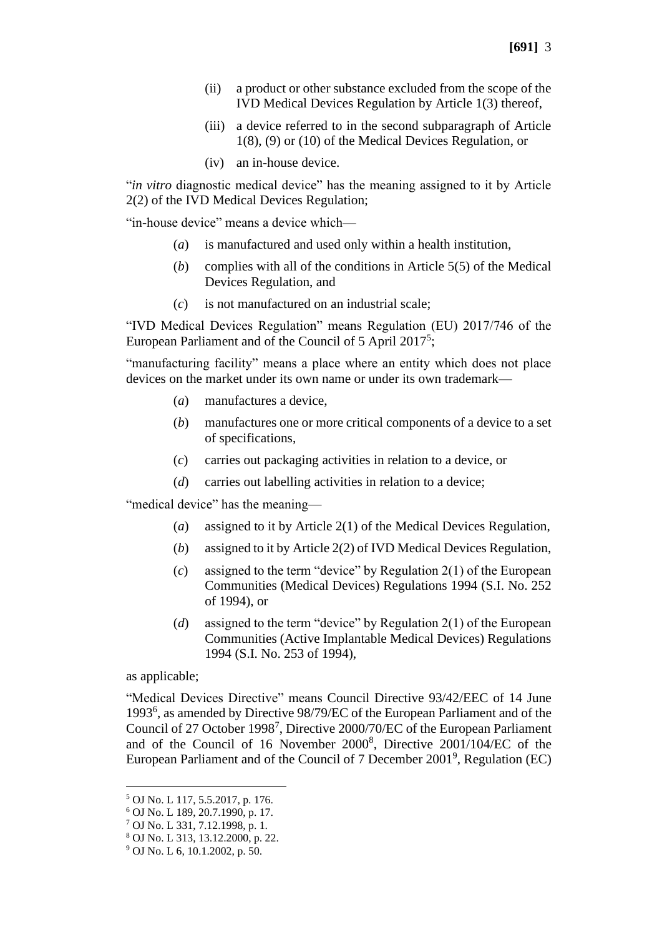- (ii) a product or other substance excluded from the scope of the IVD Medical Devices Regulation by Article 1(3) thereof,
- (iii) a device referred to in the second subparagraph of Article 1(8), (9) or (10) of the Medical Devices Regulation, or
- (iv) an in-house device.

"*in vitro* diagnostic medical device" has the meaning assigned to it by Article 2(2) of the IVD Medical Devices Regulation;

"in-house device" means a device which—

- (*a*) is manufactured and used only within a health institution,
- (*b*) complies with all of the conditions in Article 5(5) of the Medical Devices Regulation, and
- (*c*) is not manufactured on an industrial scale;

"IVD Medical Devices Regulation" means Regulation (EU) 2017/746 of the European Parliament and of the Council of 5 April 2017<sup>5</sup>;

"manufacturing facility" means a place where an entity which does not place devices on the market under its own name or under its own trademark—

- (*a*) manufactures a device,
- (*b*) manufactures one or more critical components of a device to a set of specifications,
- (*c*) carries out packaging activities in relation to a device, or
- (*d*) carries out labelling activities in relation to a device;

"medical device" has the meaning—

- (*a*) assigned to it by Article 2(1) of the Medical Devices Regulation,
- (*b*) assigned to it by Article 2(2) of IVD Medical Devices Regulation,
- (*c*) assigned to the term "device" by Regulation 2(1) of the European Communities (Medical Devices) Regulations 1994 (S.I. No. 252 of 1994), or
- (*d*) assigned to the term "device" by Regulation 2(1) of the European Communities (Active Implantable Medical Devices) Regulations 1994 (S.I. No. 253 of 1994),

as applicable;

"Medical Devices Directive" means Council Directive 93/42/EEC of 14 June 1993<sup>6</sup> , as amended by Directive 98/79/EC of the European Parliament and of the Council of 27 October 1998<sup>7</sup>, Directive 2000/70/EC of the European Parliament and of the Council of 16 November 2000<sup>8</sup>, Directive 2001/104/EC of the European Parliament and of the Council of 7 December 2001<sup>9</sup>, Regulation (EC)

<sup>5</sup> OJ No. L 117, 5.5.2017, p. 176.

<sup>6</sup> OJ No. L 189, 20.7.1990, p. 17.

<sup>7</sup> OJ No. L 331, 7.12.1998, p. 1.

<sup>8</sup> OJ No. L 313, 13.12.2000, p. 22.

<sup>9</sup> OJ No. L 6, 10.1.2002, p. 50.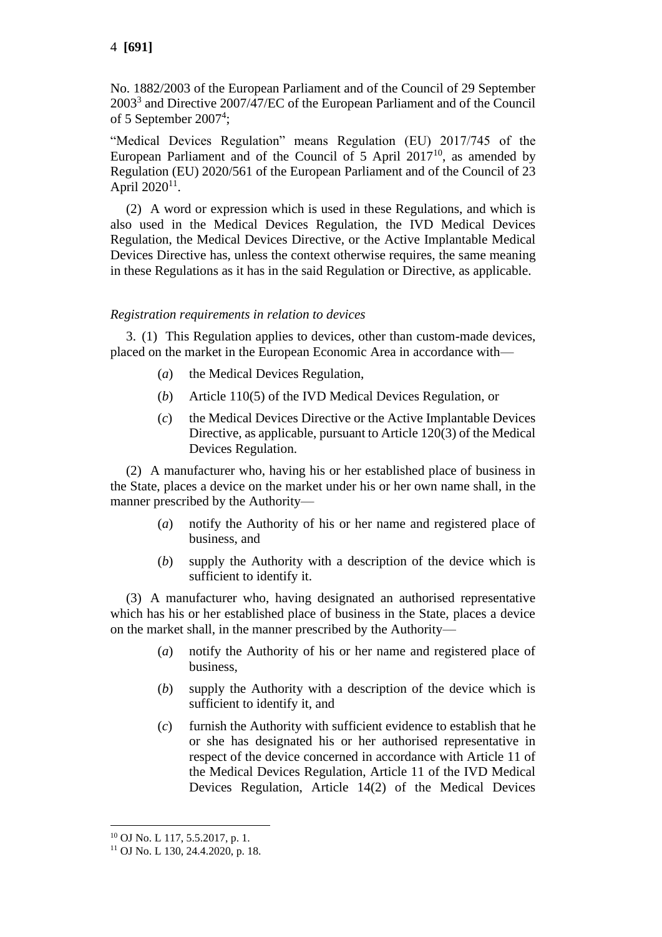No. 1882/2003 of the European Parliament and of the Council of 29 September 2003<sup>3</sup> and Directive 2007/47/EC of the European Parliament and of the Council of 5 September 2007<sup>4</sup>;

"Medical Devices Regulation" means Regulation (EU) 2017/745 of the European Parliament and of the Council of 5 April  $2017^{10}$ , as amended by Regulation (EU) 2020/561 of the European Parliament and of the Council of 23 April  $2020^{11}$ .

(2) A word or expression which is used in these Regulations, and which is also used in the Medical Devices Regulation, the IVD Medical Devices Regulation, the Medical Devices Directive, or the Active Implantable Medical Devices Directive has, unless the context otherwise requires, the same meaning in these Regulations as it has in the said Regulation or Directive, as applicable.

#### *Registration requirements in relation to devices*

3. (1) This Regulation applies to devices, other than custom-made devices, placed on the market in the European Economic Area in accordance with—

- (*a*) the Medical Devices Regulation,
- (*b*) Article 110(5) of the IVD Medical Devices Regulation, or
- (*c*) the Medical Devices Directive or the Active Implantable Devices Directive, as applicable, pursuant to Article 120(3) of the Medical Devices Regulation.

(2) A manufacturer who, having his or her established place of business in the State, places a device on the market under his or her own name shall, in the manner prescribed by the Authority—

- (*a*) notify the Authority of his or her name and registered place of business, and
- (*b*) supply the Authority with a description of the device which is sufficient to identify it.

(3) A manufacturer who, having designated an authorised representative which has his or her established place of business in the State, places a device on the market shall, in the manner prescribed by the Authority—

- (*a*) notify the Authority of his or her name and registered place of business,
- (*b*) supply the Authority with a description of the device which is sufficient to identify it, and
- (*c*) furnish the Authority with sufficient evidence to establish that he or she has designated his or her authorised representative in respect of the device concerned in accordance with Article 11 of the Medical Devices Regulation, Article 11 of the IVD Medical Devices Regulation, Article 14(2) of the Medical Devices

<sup>10</sup> OJ No. L 117, 5.5.2017, p. 1.

<sup>11</sup> OJ No. L 130, 24.4.2020, p. 18.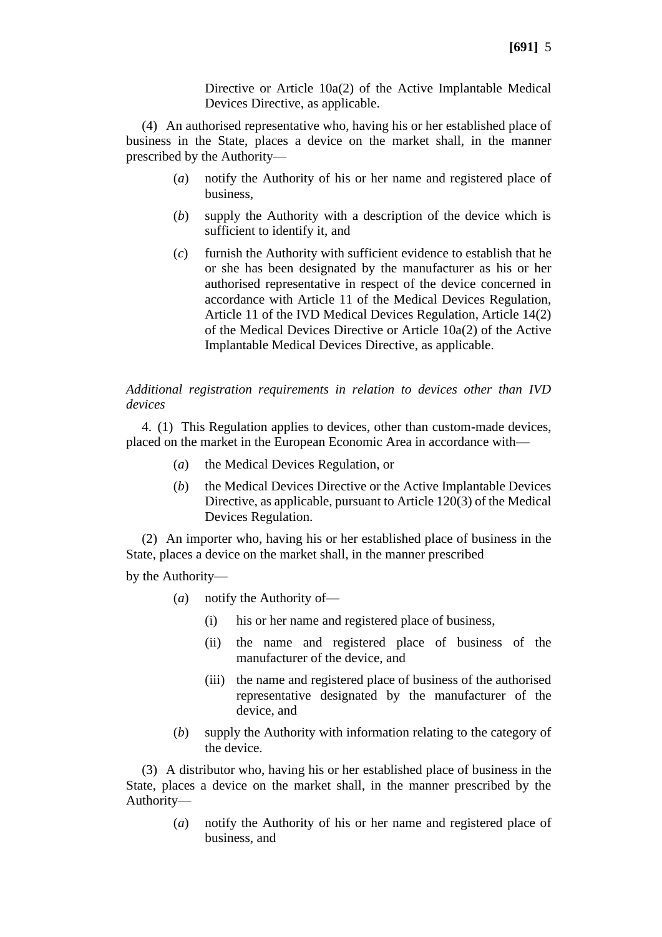Directive or Article 10a(2) of the Active Implantable Medical Devices Directive, as applicable.

(4) An authorised representative who, having his or her established place of business in the State, places a device on the market shall, in the manner prescribed by the Authority—

- (*a*) notify the Authority of his or her name and registered place of business,
- (*b*) supply the Authority with a description of the device which is sufficient to identify it, and
- (*c*) furnish the Authority with sufficient evidence to establish that he or she has been designated by the manufacturer as his or her authorised representative in respect of the device concerned in accordance with Article 11 of the Medical Devices Regulation, Article 11 of the IVD Medical Devices Regulation, Article 14(2) of the Medical Devices Directive or Article 10a(2) of the Active Implantable Medical Devices Directive, as applicable.

## *Additional registration requirements in relation to devices other than IVD devices*

4. (1) This Regulation applies to devices, other than custom-made devices, placed on the market in the European Economic Area in accordance with—

- (*a*) the Medical Devices Regulation, or
- (*b*) the Medical Devices Directive or the Active Implantable Devices Directive, as applicable, pursuant to Article 120(3) of the Medical Devices Regulation.

(2) An importer who, having his or her established place of business in the State, places a device on the market shall, in the manner prescribed

by the Authority—

- (*a*) notify the Authority of—
	- (i) his or her name and registered place of business,
	- (ii) the name and registered place of business of the manufacturer of the device, and
	- (iii) the name and registered place of business of the authorised representative designated by the manufacturer of the device, and
- (*b*) supply the Authority with information relating to the category of the device.

(3) A distributor who, having his or her established place of business in the State, places a device on the market shall, in the manner prescribed by the Authority—

> (*a*) notify the Authority of his or her name and registered place of business, and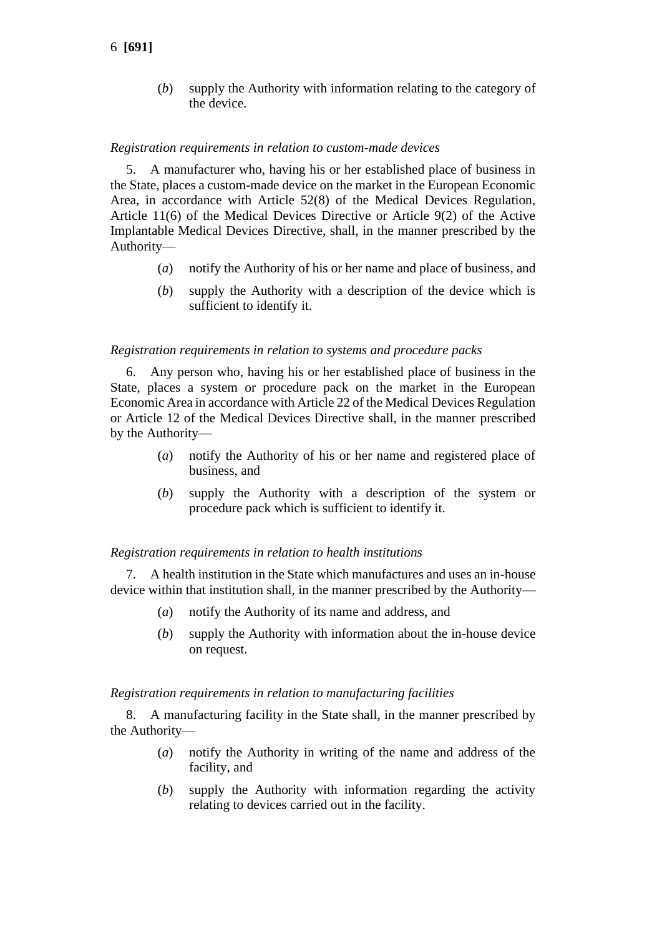(*b*) supply the Authority with information relating to the category of the device.

#### *Registration requirements in relation to custom-made devices*

5. A manufacturer who, having his or her established place of business in the State, places a custom-made device on the market in the European Economic Area, in accordance with Article 52(8) of the Medical Devices Regulation, Article 11(6) of the Medical Devices Directive or Article 9(2) of the Active Implantable Medical Devices Directive, shall, in the manner prescribed by the Authority—

- (*a*) notify the Authority of his or her name and place of business, and
- (*b*) supply the Authority with a description of the device which is sufficient to identify it.

## *Registration requirements in relation to systems and procedure packs*

6. Any person who, having his or her established place of business in the State, places a system or procedure pack on the market in the European Economic Area in accordance with Article 22 of the Medical Devices Regulation or Article 12 of the Medical Devices Directive shall, in the manner prescribed by the Authority—

- (*a*) notify the Authority of his or her name and registered place of business, and
- (*b*) supply the Authority with a description of the system or procedure pack which is sufficient to identify it.

#### *Registration requirements in relation to health institutions*

7. A health institution in the State which manufactures and uses an in-house device within that institution shall, in the manner prescribed by the Authority—

- (*a*) notify the Authority of its name and address, and
- (*b*) supply the Authority with information about the in-house device on request.

#### *Registration requirements in relation to manufacturing facilities*

8. A manufacturing facility in the State shall, in the manner prescribed by the Authority—

- (*a*) notify the Authority in writing of the name and address of the facility, and
- (*b*) supply the Authority with information regarding the activity relating to devices carried out in the facility.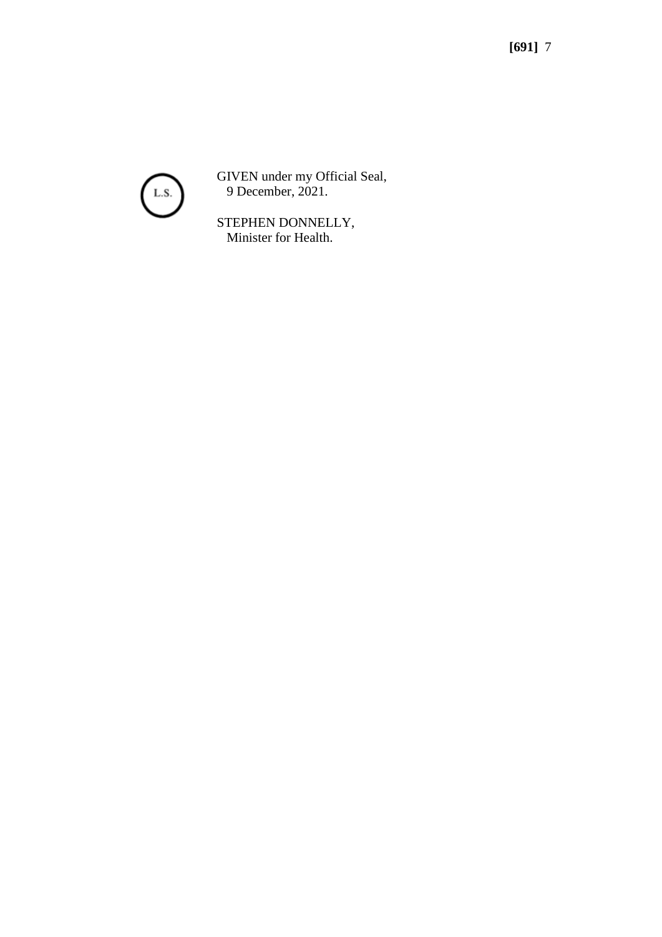

GIVEN under my Official Seal, 9 December, 2021.

STEPHEN DONNELLY, Minister for Health.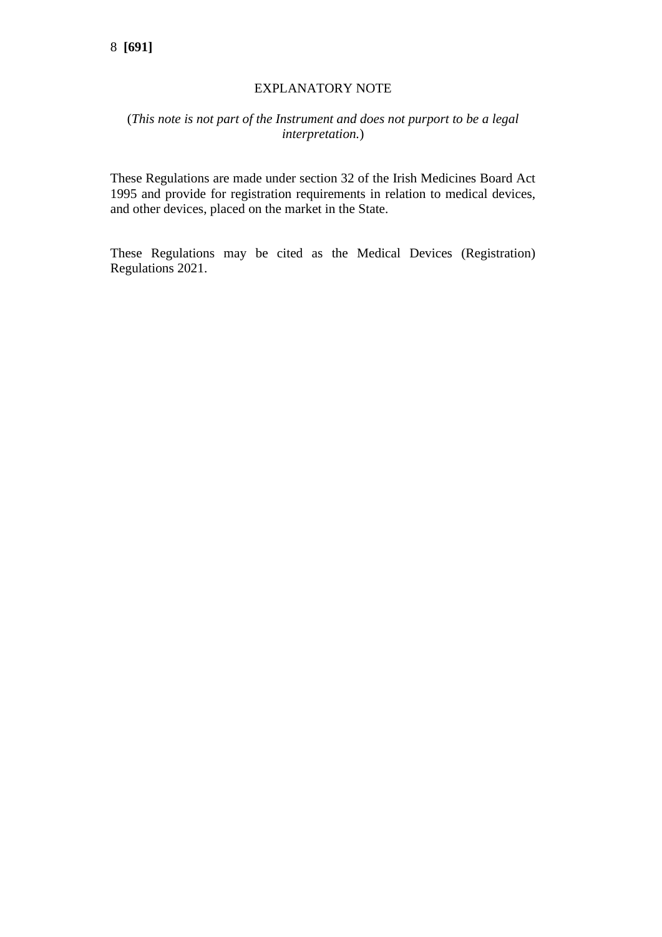## EXPLANATORY NOTE

## (*This note is not part of the Instrument and does not purport to be a legal interpretation.*)

These Regulations are made under section 32 of the Irish Medicines Board Act 1995 and provide for registration requirements in relation to medical devices, and other devices, placed on the market in the State.

These Regulations may be cited as the Medical Devices (Registration) Regulations 2021.